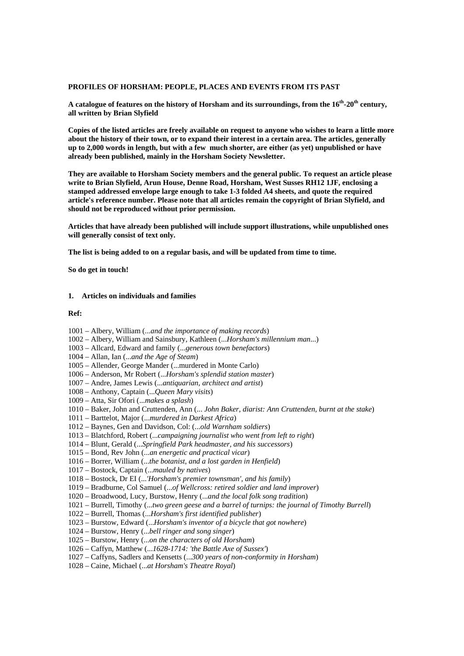#### **PROFILES OF HORSHAM: PEOPLE, PLACES AND EVENTS FROM ITS PAST**

A catalogue of features on the history of Horsham and its surroundings, from the 16<sup>th</sup>-20<sup>th</sup> century, **all written by Brian Slyfield** 

**Copies of the listed articles are freely available on request to anyone who wishes to learn a little more about the history of their town, or to expand their interest in a certain area. The articles, generally up to 2,000 words in length, but with a few much shorter, are either (as yet) unpublished or have already been published, mainly in the Horsham Society Newsletter.** 

**They are available to Horsham Society members and the general public. To request an article please write to Brian Slyfield, Arun House, Denne Road, Horsham, West Susses RH12 1JF, enclosing a stamped addressed envelope large enough to take 1-3 folded A4 sheets, and quote the required article's reference number. Please note that all articles remain the copyright of Brian Slyfield, and should not be reproduced without prior permission.** 

**Articles that have already been published will include support illustrations, while unpublished ones will generally consist of text only.** 

**The list is being added to on a regular basis, and will be updated from time to time.** 

**So do get in touch!** 

## **1. Articles on individuals and families**

## **Ref:**

- 1001 Albery, William (...*and the importance of making records*)
- 1002 Albery, William and Sainsbury, Kathleen (...*Horsham's millennium man*...)
- 1003 Allcard, Edward and family (...*generous town benefactors*)
- 1004 Allan, Ian (...*and the Age of Steam*)
- 1005 Allender, George Mander (...murdered in Monte Carlo)
- 1006 Anderson, Mr Robert (...*Horsham's splendid station master*)
- 1007 Andre, James Lewis (...*antiquarian, architect and artist*)
- 1008 Anthony, Captain (...*Queen Mary visits*)
- 1009 Atta, Sir Ofori (...*makes a splash*)
- 1010 Baker, John and Cruttenden, Ann (... *John Baker, diarist: Ann Cruttenden, burnt at the stake*)
- 1011 Barttelot, Major (...*murdered in Darkest Africa*)
- 1012 Baynes, Gen and Davidson, Col: (...*old Warnham soldiers*)
- 1013 Blatchford, Robert (...*campaigning journalist who went from left to right*)
- 1014 Blunt, Gerald (...*Springfield Park headmaster, and his successors*)
- 1015 Bond, Rev John (...*an energetic and practical vicar*)
- 1016 Borrer, William (...*the botanist, and a lost garden in Henfield*)
- 1017 Bostock, Captain (...*mauled by natives*)
- 1018 Bostock, Dr EI (...*'Horsham's premier townsman', and his family*)
- 1019 Bradburne, Col Samuel (...*of Wellcross: retired soldier and land improver*)
- 1020 Broadwood, Lucy, Burstow, Henry (...*and the local folk song tradition*)
- 1021 Burrell, Timothy (...*two green geese and a barrel of turnips: the journal of Timothy Burrell*)
- 1022 Burrell, Thomas (...*Horsham's first identified publisher*)
- 1023 Burstow, Edward (...*Horsham's inventor of a bicycle that got nowhere*)
- 1024 Burstow, Henry (...*bell ringer and song singer*)
- 1025 Burstow, Henry (...*on the characters of old Horsham*)
- 1026 Caffyn, Matthew (...*1628-1714: 'the Battle Axe of Sussex'*)
- 1027 Caffyns, Sadlers and Kensetts (...*300 years of non-conformity in Horsham*)
- 1028 Caine, Michael (...*at Horsham's Theatre Royal*)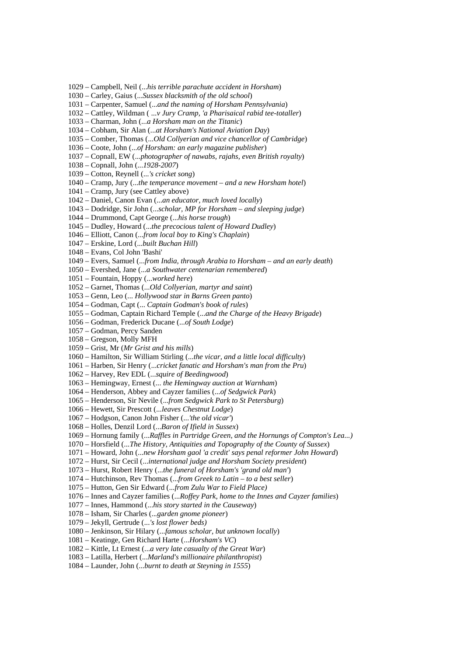1029 – Campbell, Neil (...*his terrible parachute accident in Horsham*)

- 1030 Carley, Gaius (...*Sussex blacksmith of the old school*)
- 1031 Carpenter, Samuel (...*and the naming of Horsham Pennsylvania*)
- 1032 Cattley, Wildman ( ...*v Jury Cramp, 'a Pharisaical rabid tee-totaller*)
- 1033 Charman, John (...*a Horsham man on the Titanic*)
- 1034 Cobham, Sir Alan (...*at Horsham's National Aviation Day*)
- 1035 Comber, Thomas (...*Old Collyerian and vice chancellor of Cambridge*)
- 1036 Coote, John (...*of Horsham: an early magazine publisher*)
- 1037 Copnall, EW (...*photographer of nawabs, rajahs, even British royalty*)
- 1038 Copnall, John (...*1928-2007*)
- 1039 Cotton, Reynell (...*'s cricket song*)
- 1040 Cramp, Jury (...*the temperance movement and a new Horsham hotel*)
- 1041 Cramp, Jury (see Cattley above)
- 1042 Daniel, Canon Evan (...*an educator, much loved locally*)
- 1043 Dodridge, Sir John (...*scholar, MP for Horsham and sleeping judge*)
- 1044 Drummond, Capt George (...*his horse trough*)
- 1045 Dudley, Howard (...*the precocious talent of Howard Dudley*)
- 1046 Elliott, Canon (...*from local boy to King's Chaplain*)
- 1047 Erskine, Lord (...*built Buchan Hill*)
- 1048 Evans, Col John 'Bashi'
- 1049 Evers, Samuel (...*from India, through Arabia to Horsham and an early death*)
- 1050 Evershed, Jane (...*a Southwater centenarian remembered*)
- 1051 Fountain, Hoppy (...*worked here*)
- 1052 Garnet, Thomas (...*Old Collyerian, martyr and saint*)
- 1053 Genn, Leo (... *Hollywood star in Barns Green panto*)
- 1054 Godman, Capt (... *Captain Godman's book of rules*)
- 1055 Godman, Captain Richard Temple (...*and the Charge of the Heavy Brigade*)
- 1056 Godman, Frederick Ducane (...*of South Lodge*)
- 1057 Godman, Percy Sanden
- 1058 Gregson, Molly MFH
- 1059 Grist, Mr (*Mr Grist and his mills*)
- 1060 Hamilton, Sir William Stirling (...*the vicar, and a little local difficulty*)
- 1061 Harben, Sir Henry (...*cricket fanatic and Horsham's man from the Pru*)
- 1062 Harvey, Rev EDL (...*squire of Beedingwood*)
- 1063 Hemingway, Ernest (... *the Hemingway auction at Warnham*)
- 1064 Henderson, Abbey and Cayzer families (...*of Sedgwick Park*)
- 1065 Henderson, Sir Nevile (...*from Sedgwick Park to St Petersburg*)
- 1066 Hewett, Sir Prescott (...*leaves Chestnut Lodge*)
- 1067 Hodgson, Canon John Fisher (...*'the old vicar'*)
- 1068 Holles, Denzil Lord (...*Baron of Ifield in Sussex*)
- 1069 Hornung family (...*Raffles in Partridge Green, and the Hornungs of Compton's Lea...)*
- 1070 Horsfield (...*The History, Antiquities and Topography of the County of Sussex*)
- 1071 Howard, John (...*new Horsham gaol 'a credit' says penal reformer John Howard*)
- 1072 Hurst, Sir Cecil (...*international judge and Horsham Society president*)
- 1073 Hurst, Robert Henry (...*the funeral of Horsham's 'grand old man'*)
- 1074 Hutchinson, Rev Thomas (...*from Greek to Latin to a best seller*)
- 1075 Hutton, Gen Sir Edward (...*from Zulu War to Field Place)*
- 1076 Innes and Cayzer families (...*Roffey Park, home to the Innes and Cayzer families*)
- 1077 Innes, Hammond (...*his story started in the Causeway*)
- 1078 Isham, Sir Charles (..*.g*a*rden gnome pioneer*)
- 1079 Jekyll, Gertrude (...*'s lost flower beds)*
- 1080 Jenkinson, Sir Hilary (...*famous scholar, but unknown locally*)
- 1081 Keatinge, Gen Richard Harte (...*Horsham's VC*)
- 1082 Kittle, Lt Ernest (...*a very late casualty of the Great War*)
- 1083 Latilla, Herbert (...*Marland's millionaire philanthropist*)
- 1084 Launder, John (...*burnt to death at Steyning in 1555*)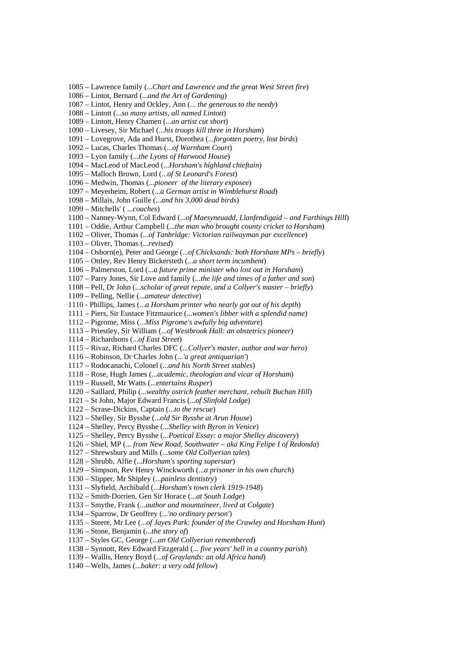1090 – Livesey, Sir Michael (...*his troops kill three in Horsham*) 1091 – Lovegrove, Ada and Hurst, Dorothea (...*forgotten poetry, lost birds*) 1092 – Lucas, Charles Thomas (...*of Warnham Court*) 1093 – Lyon family (...*the Lyons of Harwood House*) 1094 – MacLeod of MacLeod (...*Horsham's highland chieftain*) 1095 – Malloch Brown, Lord (...*of St Leonard's Forest*) 1096 – Medwin, Thomas (...*pioneer of the literary exposee*) 1097 – Meyerheim, Robert (...*a German artist in Wimblehurst Road*) 1098 – Millais, John Guille (...*and his 3,000 dead birds*) 1099 – Mitchells' ( ...*coaches*) 1100 – Nanney-Wynn, Col Edward (...*of Maesyneuadd, Llanfendigaid – and Farthings Hill*) 1101 – Oddie, Arthur Campbell (...*the man who brought county cricket to Horsham*) 1102 – Oliver, Thomas (...*of Tanbridge: Victorian railwayman par excellence*) 1103 – Oliver, Thomas (...*revised*) 1104 – Osborn(e), Peter and George (...*of Chicksands: both Horsham MPs – briefly*) 1105 – Ottley, Rev Henry Bickersteth (...*a short term incumbent*) 1106 – Palmerston, Lord (...*a future prime minister who lost out in Horsham*) 1107 – Parry Jones, Sir Love and family (...*the life and times of a father and son*) 1108 – Pell, Dr John (...*scholar of great repute, and a Collyer's master – briefly*) 1109 – Pelling, Nellie (...*amateur detective*) 1110 - Phillips, James (...*a Horsham printer who nearly got out of his depth*) 1111 – Piers, Sir Eustace Fitzmaurice (...*women's libber with a splendid name*) 1112 – Pigrome, Miss (...*Miss Pigrome's awfully big adventure*) 1113 – Priestley, Sir William (...*of Westbrook Hall: an obstetrics pioneer*) 1114 – Richardsons (...*of East Street*) 1115 – Rivaz, Richard Charles DFC (...*Collyer's master, author and war hero*) 1116 – Robinson, Dr Charles John (...*'a great antiquarian'*) 1117 – Rodocanachi, Colonel (...*and his North Street stables*) 1118 – Rose, Hugh James (...*academic, theologian and vicar of Horsham*) 1119 – Russell, Mr Watts (...*entertains Rusper*) 1120 – Saillard, Philip (...*wealthy ostrich feather merchant, rebuilt Buchan Hill*) 1121 – St John, Major Edward Francis (...*of Slinfold Lodge*) 1122 – Scrase-Dickins, Captain (*.*..*to the rescue*) 1123 – Shelley, Sir Bysshe (...*old Sir Bysshe at Arun House*)

1085 – Lawrence family (...*Chart and Lawrence and the great West Street fire*)

1087 – Lintot, Henry and Ockley, Ann (... *the generous to the needy*)

1086 – Lintot, Bernard (...*and the Art of Gardening*)

1088 – Lintott (...*so many artists, all named Lintott*) 1089 – Lintott, Henry Chamen (...*an artist cut short*)

- 1124 Shelley, Percy Bysshe (...*Shelley with Byron in Venice*)
- 1125 Shelley, Percy Bysshe (...*Poetical Essay: a major Shelley discovery*)
- 1126 Shiel, MP (... *from New Road, Southwater aka King Felipe I of Redonda*)
- 1127 Shrewsbury and Mills (...*some Old Collyerian tales*)
- 1128 Shrubb, Alfie (...*Horsham's sporting superstar*)
- 1129 Simpson, Rev Henry Winckworth (...*a prisoner in his own church*)
- 1130 Slipper, Mr Shipley (...*painless dentistry*)
- 1131 Slyfield, Archibald (...*Horsham's town clerk 1919-1948*)
- 1132 Smith-Dorrien, Gen Sir Horace (...*at South Lodge*)
- 1133 Smythe, Frank (...*author and mountaineer, lived at Colgate*)
- 1134 Sparrow, Dr Geoffrey (...*'no ordinary person'*)
- 1135 Steere, Mr Lee (...*of Jayes Park: founder of the Crawley and Horsham Hunt*)
- 1136 Stone, Benjamin (...*the story of*)
- 1137 Styles GC, George (...*an Old Collyerian remembered*)
- 1138 Synnott, Rev Edward Fitzgerald (... *five years' hell in a country parish*)
- 1139 Wallis, Henry Boyd (...*of Graylands: an old Africa hand*)
- 1140 Wells, James (...*baker: a very odd fellow*)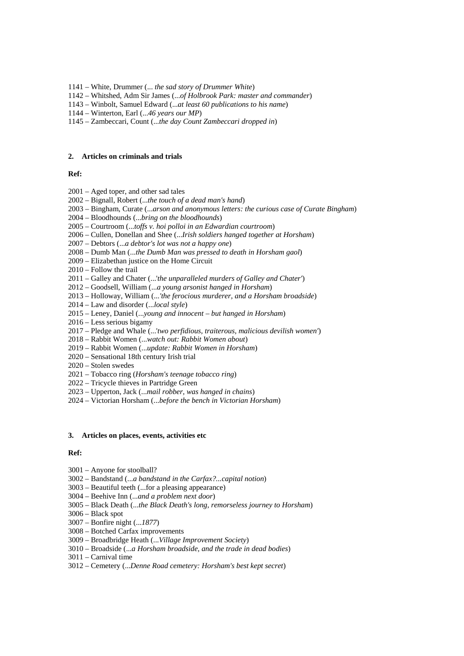- 1141 White, Drummer (... *the sad story of Drummer White*)
- 1142 Whitshed, Adm Sir James (...*of Holbrook Park: master and commander*)
- 1143 Winbolt, Samuel Edward (...*at least 60 publications to his name*)
- 1144 Winterton, Earl (...*46 years our MP*)
- 1145 Zambeccari, Count (...*the day Count Zambeccari dropped in*)

#### **2. Articles on criminals and trials**

# **Ref:**

- 2001 Aged toper, and other sad tales
- 2002 Bignall, Robert (...*the touch of a dead man's hand*)
- 2003 Bingham, Curate (...*arson and anonymous letters: the curious case of Curate Bingham*)
- 2004 Bloodhounds (...*bring on the bloodhounds*)
- 2005 Courtroom (...*toffs v. hoi polloi in an Edwardian courtroom*)
- 2006 Cullen, Donellan and Shee (...*Irish soldiers hanged together at Horsham*)
- 2007 Debtors (...*a debtor's lot was not a happy one*)
- 2008 Dumb Man (...*the Dumb Man was pressed to death in Horsham gaol*)
- 2009 Elizabethan justice on the Home Circuit
- 2010 Follow the trail
- 2011 Galley and Chater (...'*the unparalleled murders of Galley and Chater'*)
- 2012 Goodsell, William (...*a young arsonist hanged in Horsham*)
- 2013 Holloway, William (...*'the ferocious murderer, and a Horsham broadside*)
- 2014 Law and disorder (...*local style*)
- 2015 Leney, Daniel (...*young and innocent but hanged in Horsham*)
- 2016 Less serious bigamy
- 2017 Pledge and Whale (...'*two perfidious, traiterous, malicious devilish women'*)
- 2018 Rabbit Women (...*watch out: Rabbit Women about*)
- 2019 Rabbit Women (...*update: Rabbit Women in Horsham*)
- 2020 Sensational 18th century Irish trial
- 2020 Stolen swedes
- 2021 Tobacco ring (*Horsham's teenage tobacco ring*)
- 2022 Tricycle thieves in Partridge Green
- 2023 Upperton, Jack (...*mail robber, was hanged in chains*)
- 2024 Victorian Horsham (...*before the bench in Victorian Horsham*)

## **3. Articles on places, events, activities etc**

## **Ref:**

- 3001 Anyone for stoolball?
- 3002 Bandstand (...*a bandstand in the Carfax?...capital notion*)
- 3003 Beautiful teeth (...for a pleasing appearance)
- 3004 Beehive Inn (...*and a problem next door*)
- 3005 Black Death (...*the Black Death's long, remorseless journey to Horsham*)
- 3006 Black spot
- 3007 Bonfire night (...*1877*)
- 3008 Botched Carfax improvements
- 3009 Broadbridge Heath (...*Village Improvement Society*)
- 3010 Broadside (...*a Horsham broadside, and the trade in dead bodies*)
- 3011 Carnival time
- 3012 Cemetery (...*Denne Road cemetery: Horsham's best kept secret*)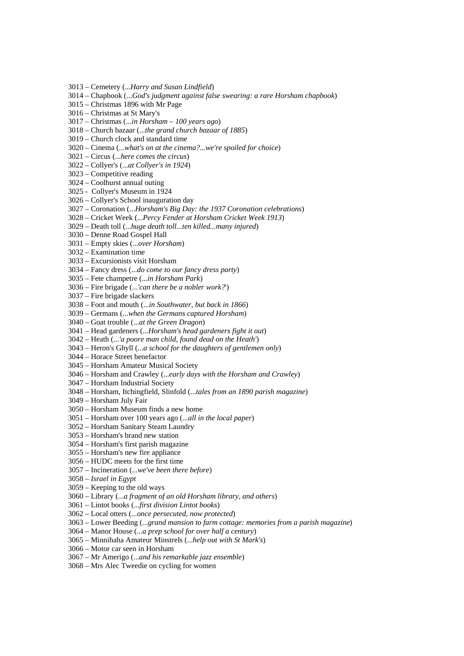- 3013 Cemetery (...*Harry and Susan Lindfield*)
- 3014 Chapbook (...*God's judgment against false swearing: a rare Horsham chapbook*)
- 3015 Christmas 1896 with Mr Page
- 3016 Christmas at St Mary's
- 3017 Christmas (...*in Horsham 100 years ago*)
- 3018 Church bazaar (...*the grand church bazaar of 1885*)
- 3019 Church clock and standard time
- 3020 Cinema (...*what's on at the cinema?...we're spoiled for choice*)
- 3021 Circus (...*here comes the circus*)
- 3022 Collyer's (...*at Collyer's in 1924*)
- 3023 Competitive reading
- 3024 Coolhurst annual outing
- 3025 Collyer's Museum in 1924
- 3026 Collyer's School inauguration day
- 3027 Coronation (...*Horsham's Big Day: the 1937 Coronation celebrations*)
- 3028 Cricket Week (...*Percy Fender at Horsham Cricket Week 1913*)
- 3029 Death toll (...*huge death toll...ten killed...many injured*)
- 3030 Denne Road Gospel Hall
- 3031 Empty skies (...*over Horsham*)
- 3032 Examination time
- 3033 Excursionists visit Horsham
- 3034 Fancy dress (...*do come to our fancy dress party*)
- 3035 Fete champetre (...*in Horsham Park*)
- 3036 Fire brigade (...*'can there be a nobler work?*')
- 3037 Fire brigade slackers
- 3038 Foot and mouth (...*in Southwater, but back in 1866*)
- 3039 Germans (...*when the Germans captured Horsham*)
- 3040 Goat trouble (...*at the Green Dragon*)
- 3041 Head gardeners (...*Horsham's head gardeners fight it out*)
- 3042 Heath (...*'a poore man child, found dead on the Heath'*)
- 3043 Heron's Ghyll (...*a school for the daughters of gentlemen only*)
- 3044 Horace Street benefactor
- 3045 Horsham Amateur Musical Society
- 3046 Horsham and Crawley (...*early days with the Horsham and Crawley*)
- 3047 Horsham Industrial Society
- 3048 Horsham, Itchingfield, Slinfold (...*tales from an 1890 parish magazine*)
- 3049 Horsham July Fair
- 3050 Horsham Museum finds a new home
- 3051 Horsham over 100 years ago (.*..all in the local paper*)
- 3052 Horsham Sanitary Steam Laundry
- 3053 Horsham's brand new station
- 3054 Horsham's first parish magazine
- 3055 Horsham's new fire appliance
- 3056 HUDC meets for the first time
- 3057 Incineration (...*we've been there before*)
- 3058 *Israel in Egypt*
- 3059 Keeping to the old ways
- 3060 Library (...*a fragment of an old Horsham library, and others*)
- 3061 Lintot books (...*first division Lintot books*)
- 3062 Local otters (...*once persecuted, now protected*)
- 3063 Lower Beeding (...*grand mansion to farm cottage: memories from a parish magazine*)
- 3064 Manor House (...*a prep school for over half a century*)
- 3065 Minnihaha Amateur Minstrels (...*help out with St Mark's*)
- 3066 Motor car seen in Horsham
- 3067 Mr Amerigo (...*and his remarkable jazz ensemble*)
- 3068 Mrs Alec Tweedie on cycling for women